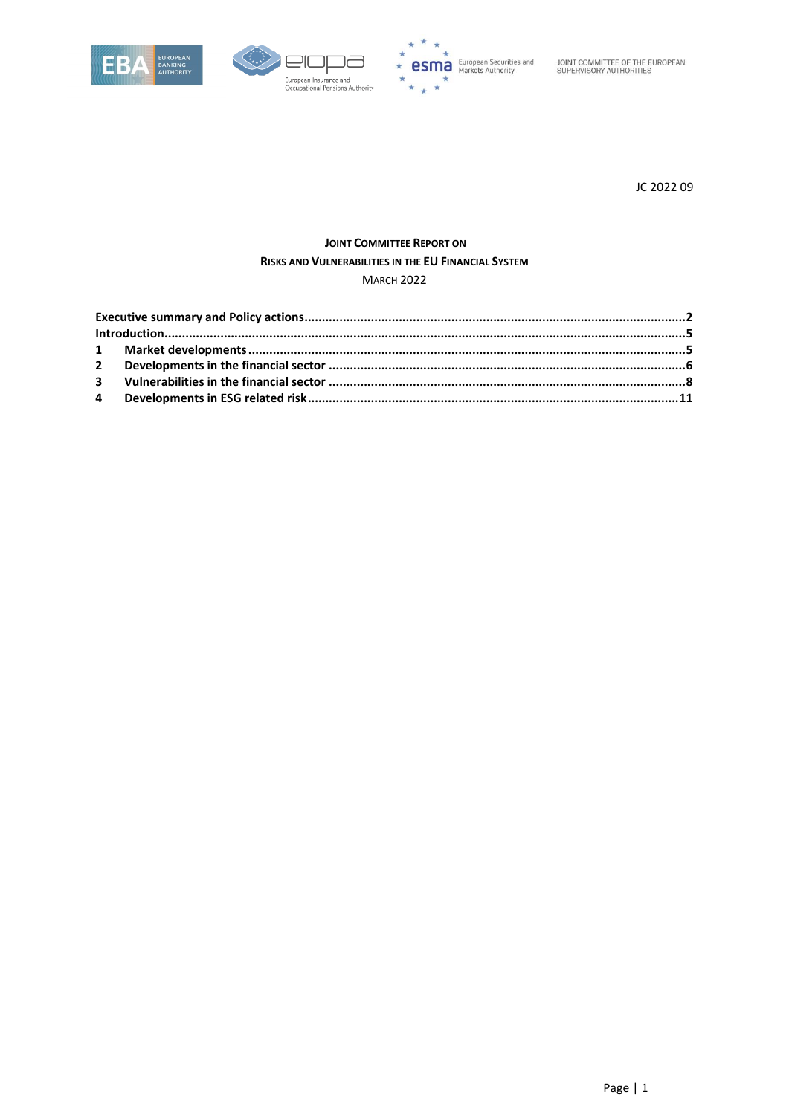





JOINT COMMITTEE OF THE EUROPEAN<br>SUPERVISORY AUTHORITIES

JC 2022 09

# **JOINT COMMITTEE REPORT ON** RISKS AND VULNERABILITIES IN THE EU FINANCIAL SYSTEM

**MARCH 2022**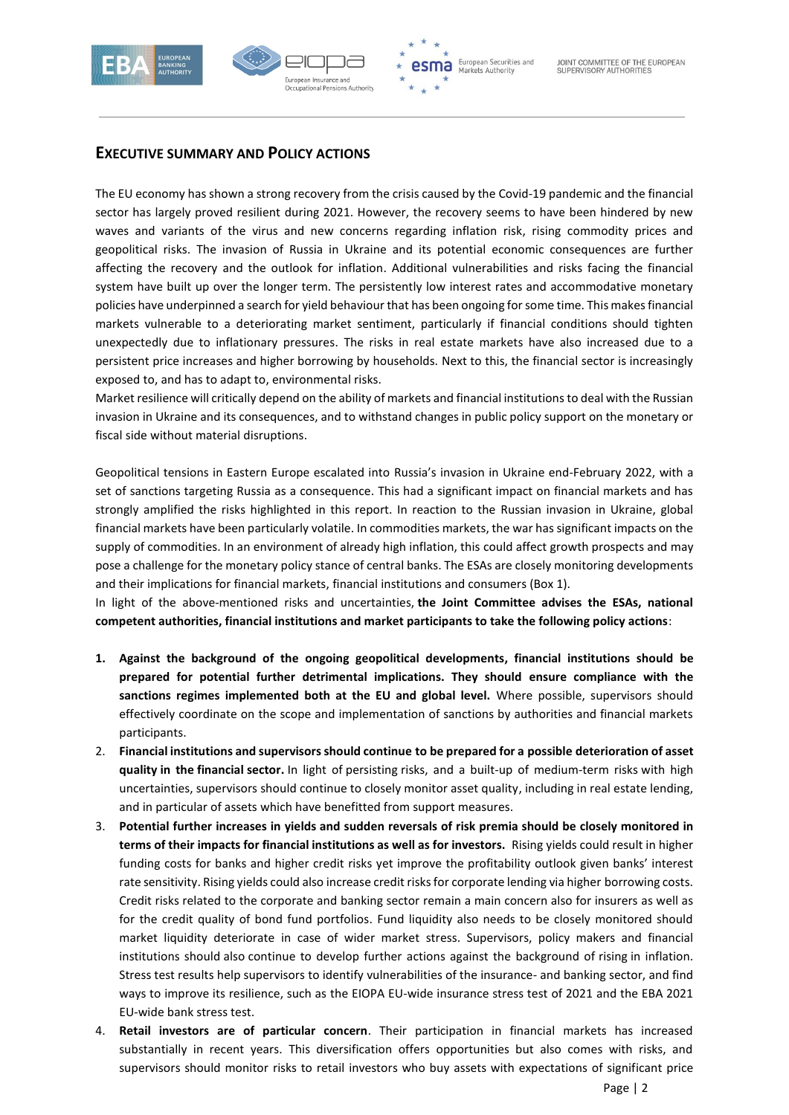



## <span id="page-1-0"></span>**EXECUTIVE SUMMARY AND POLICY ACTIONS**

The EU economy has shown a strong recovery from the crisis caused by the Covid-19 pandemic and the financial sector has largely proved resilient during 2021. However, the recovery seems to have been hindered by new waves and variants of the virus and new concerns regarding inflation risk, rising commodity prices and geopolitical risks. The invasion of Russia in Ukraine and its potential economic consequences are further affecting the recovery and the outlook for inflation. Additional vulnerabilities and risks facing the financial system have built up over the longer term. The persistently low interest rates and accommodative monetary policies have underpinned a search for yield behaviourthat has been ongoing for some time. This makes financial markets vulnerable to a deteriorating market sentiment, particularly if financial conditions should tighten unexpectedly due to inflationary pressures. The risks in real estate markets have also increased due to a persistent price increases and higher borrowing by households. Next to this, the financial sector is increasingly exposed to, and has to adapt to, environmental risks.

Market resilience will critically depend on the ability of markets and financial institutions to deal with the Russian invasion in Ukraine and its consequences, and to withstand changes in public policy support on the monetary or fiscal side without material disruptions.

Geopolitical tensions in Eastern Europe escalated into Russia's invasion in Ukraine end-February 2022, with a set of sanctions targeting Russia as a consequence. This had a significant impact on financial markets and has strongly amplified the risks highlighted in this report. In reaction to the Russian invasion in Ukraine, global financial markets have been particularly volatile. In commodities markets, the war has significant impacts on the supply of commodities. In an environment of already high inflation, this could affect growth prospects and may pose a challenge for the monetary policy stance of central banks. The ESAs are closely monitoring developments and their implications for financial markets, financial institutions and consumers (Box 1).

In light of the above-mentioned risks and uncertainties, **the Joint Committee advises the ESAs, national competent authorities, financial institutions and market participants to take the following policy actions**:

- **1. Against the background of the ongoing geopolitical developments, financial institutions should be prepared for potential further detrimental implications. They should ensure compliance with the sanctions regimes implemented both at the EU and global level.** Where possible, supervisors should effectively coordinate on the scope and implementation of sanctions by authorities and financial markets participants.
- 2. **Financial institutions and supervisors should continue to be prepared for a possible deterioration of asset quality in the financial sector.** In light of persisting risks, and a built-up of medium-term risks with high uncertainties, supervisors should continue to closely monitor asset quality, including in real estate lending, and in particular of assets which have benefitted from support measures.
- 3. **Potential further increases in yields and sudden reversals of risk premia should be closely monitored in terms of their impacts for financial institutions as well as for investors.** Rising yields could result in higher funding costs for banks and higher credit risks yet improve the profitability outlook given banks' interest rate sensitivity. Rising yields could also increase credit risks for corporate lending via higher borrowing costs. Credit risks related to the corporate and banking sector remain a main concern also for insurers as well as for the credit quality of bond fund portfolios. Fund liquidity also needs to be closely monitored should market liquidity deteriorate in case of wider market stress. Supervisors, policy makers and financial institutions should also continue to develop further actions against the background of rising in inflation. Stress test results help supervisors to identify vulnerabilities of the insurance- and banking sector, and find ways to improve its resilience, such as the EIOPA EU-wide insurance stress test of 2021 and the EBA 2021 EU-wide bank stress test.
- 4. **Retail investors are of particular concern**. Their participation in financial markets has increased substantially in recent years. This diversification offers opportunities but also comes with risks, and supervisors should monitor risks to retail investors who buy assets with expectations of significant price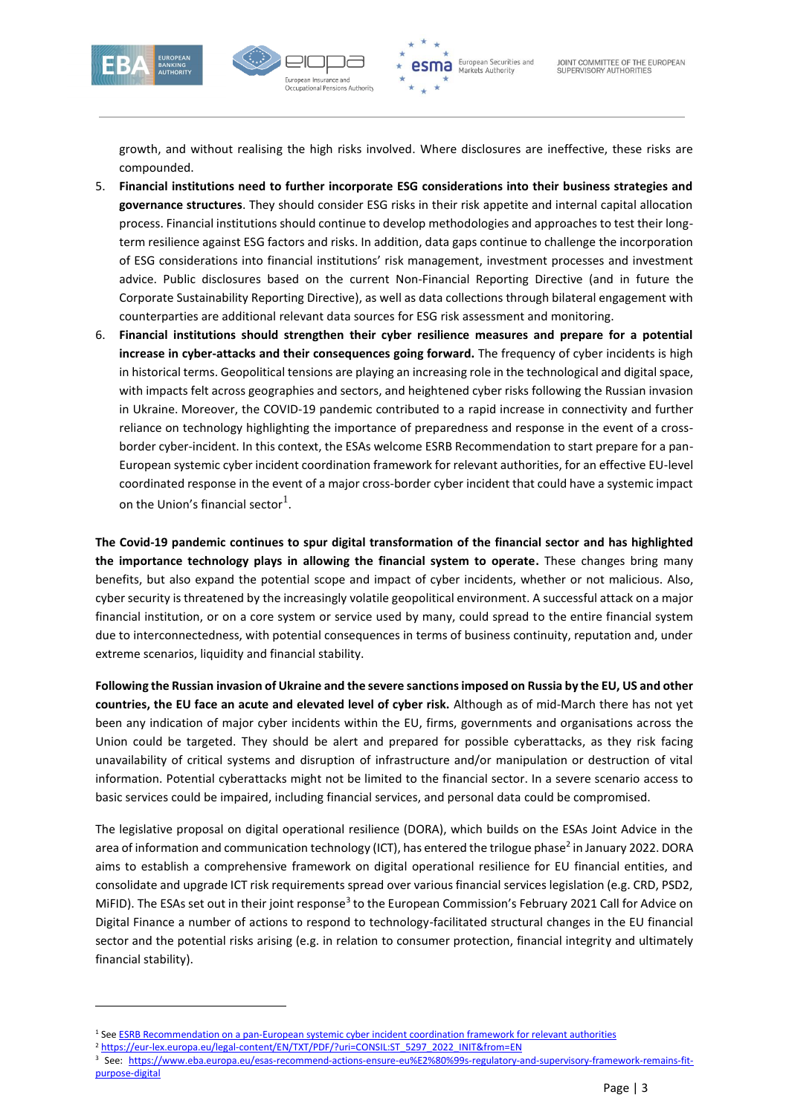



growth, and without realising the high risks involved. Where disclosures are ineffective, these risks are compounded.

- 5. **Financial institutions need to further incorporate ESG considerations into their business strategies and governance structures**. They should consider ESG risks in their risk appetite and internal capital allocation process. Financial institutions should continue to develop methodologies and approaches to test their longterm resilience against ESG factors and risks. In addition, data gaps continue to challenge the incorporation of ESG considerations into financial institutions' risk management, investment processes and investment advice. Public disclosures based on the current Non-Financial Reporting Directive (and in future the Corporate Sustainability Reporting Directive), as well as data collections through bilateral engagement with counterparties are additional relevant data sources for ESG risk assessment and monitoring.
- 6. **Financial institutions should strengthen their cyber resilience measures and prepare for a potential increase in cyber-attacks and their consequences going forward.** The frequency of cyber incidents is high in historical terms. Geopolitical tensions are playing an increasing role in the technological and digital space, with impacts felt across geographies and sectors, and heightened cyber risks following the Russian invasion in Ukraine. Moreover, the COVID-19 pandemic contributed to a rapid increase in connectivity and further reliance on technology highlighting the importance of preparedness and response in the event of a crossborder cyber-incident. In this context, the ESAs welcome ESRB Recommendation to start prepare for a pan-European systemic cyber incident coordination framework for relevant authorities, for an effective EU-level coordinated response in the event of a major cross-border cyber incident that could have a systemic impact on the Union's financial sector $^{1}$ .

**The Covid-19 pandemic continues to spur digital transformation of the financial sector and has highlighted the importance technology plays in allowing the financial system to operate.** These changes bring many benefits, but also expand the potential scope and impact of cyber incidents, whether or not malicious. Also, cyber security is threatened by the increasingly volatile geopolitical environment. A successful attack on a major financial institution, or on a core system or service used by many, could spread to the entire financial system due to interconnectedness, with potential consequences in terms of business continuity, reputation and, under extreme scenarios, liquidity and financial stability.

**Following the Russian invasion of Ukraine and the severe sanctions imposed on Russia by the EU, US and other countries, the EU face an acute and elevated level of cyber risk.** Although as of mid-March there has not yet been any indication of major cyber incidents within the EU, firms, governments and organisations across the Union could be targeted. They should be alert and prepared for possible cyberattacks, as they risk facing unavailability of critical systems and disruption of infrastructure and/or manipulation or destruction of vital information. Potential cyberattacks might not be limited to the financial sector. In a severe scenario access to basic services could be impaired, including financial services, and personal data could be compromised.

The legislative proposal on digital operational resilience (DORA), which builds on the ESAs Joint Advice in the area of information and communication technology (ICT), has entered the trilogue phase<sup>2</sup> in January 2022. DORA aims to establish a comprehensive framework on digital operational resilience for EU financial entities, and consolidate and upgrade ICT risk requirements spread over various financial services legislation (e.g. CRD, PSD2, MiFID). The ESAs set out in their joint response<sup>3</sup> to the European Commission's February 2021 Call for Advice on Digital Finance a number of actions to respond to technology-facilitated structural changes in the EU financial sector and the potential risks arising (e.g. in relation to consumer protection, financial integrity and ultimately financial stability).

<sup>1</sup> Se[e ESRB Recommendation on a pan-European systemic cyber incident coordination framework for relevant authorities](https://www.esrb.europa.eu/pub/pdf/recommendations/esrb.recommendation220127_on_cyber_incident_coordination~0ebcbf5f69.en.pdf?f2ec57c21993067e9ac1d73ce93a0772)

<sup>2</sup> [https://eur-lex.europa.eu/legal-content/EN/TXT/PDF/?uri=CONSIL:ST\\_5297\\_2022\\_INIT&from=EN](https://eur-lex.europa.eu/legal-content/EN/TXT/PDF/?uri=CONSIL:ST_5297_2022_INIT&from=EN)

<sup>3</sup> See: [https://www.eba.europa.eu/esas-recommend-actions-ensure-eu%E2%80%99s-regulatory-and-supervisory-framework-remains-fit](https://www.eba.europa.eu/esas-recommend-actions-ensure-eu%E2%80%99s-regulatory-and-supervisory-framework-remains-fit-purpose-digital)[purpose-digital](https://www.eba.europa.eu/esas-recommend-actions-ensure-eu%E2%80%99s-regulatory-and-supervisory-framework-remains-fit-purpose-digital)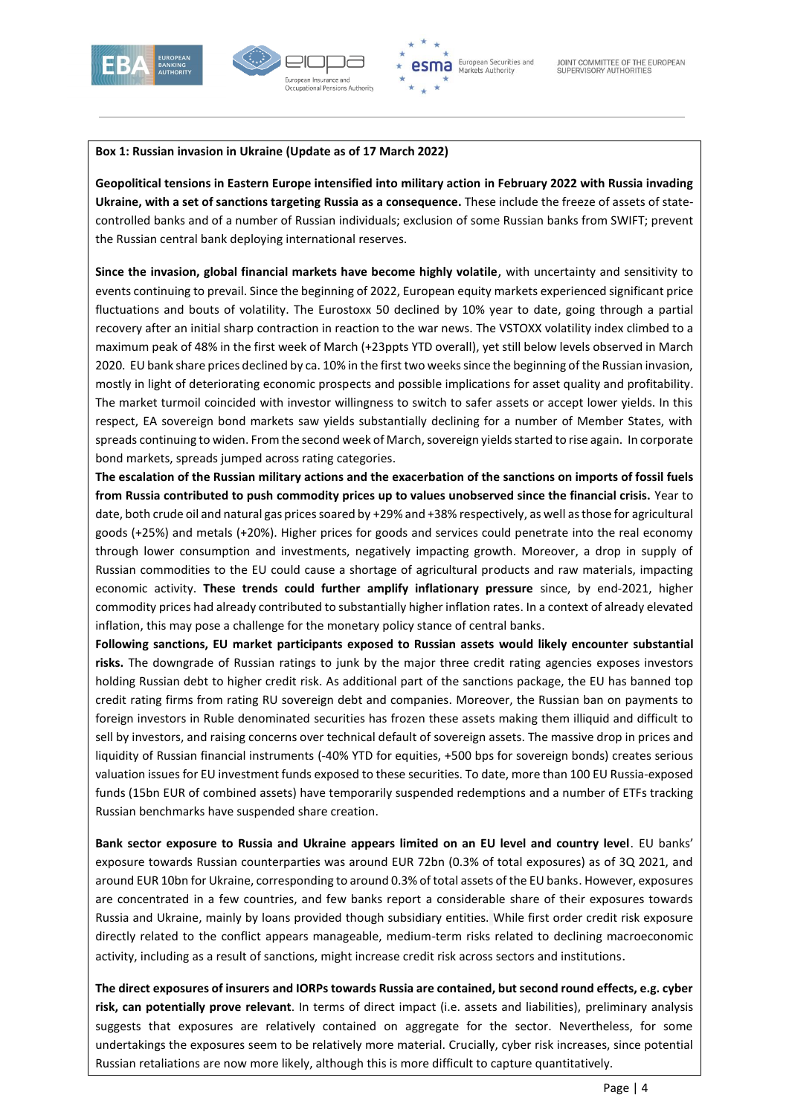



#### **Box 1: Russian invasion in Ukraine (Update as of 17 March 2022)**

**Geopolitical tensions in Eastern Europe intensified into military action in February 2022 with Russia invading Ukraine, with a set of sanctions targeting Russia as a consequence.** These include the freeze of assets of statecontrolled banks and of a number of Russian individuals; exclusion of some Russian banks from SWIFT; prevent the Russian central bank deploying international reserves.

**Since the invasion, global financial markets have become highly volatile**, with uncertainty and sensitivity to events continuing to prevail. Since the beginning of 2022, European equity markets experienced significant price fluctuations and bouts of volatility. The Eurostoxx 50 declined by 10% year to date, going through a partial recovery after an initial sharp contraction in reaction to the war news. The VSTOXX volatility index climbed to a maximum peak of 48% in the first week of March (+23ppts YTD overall), yet still below levels observed in March 2020. EU bank share prices declined by ca. 10% in the first two weeks since the beginning of the Russian invasion, mostly in light of deteriorating economic prospects and possible implications for asset quality and profitability. The market turmoil coincided with investor willingness to switch to safer assets or accept lower yields. In this respect, EA sovereign bond markets saw yields substantially declining for a number of Member States, with spreads continuing to widen. From the second week of March, sovereign yields started to rise again. In corporate bond markets, spreads jumped across rating categories.

**The escalation of the Russian military actions and the exacerbation of the sanctions on imports of fossil fuels from Russia contributed to push commodity prices up to values unobserved since the financial crisis.** Year to date, both crude oil and natural gas prices soared by +29% and +38% respectively, as well as those for agricultural goods (+25%) and metals (+20%). Higher prices for goods and services could penetrate into the real economy through lower consumption and investments, negatively impacting growth. Moreover, a drop in supply of Russian commodities to the EU could cause a shortage of agricultural products and raw materials, impacting economic activity. **These trends could further amplify inflationary pressure** since, by end-2021, higher commodity prices had already contributed to substantially higher inflation rates. In a context of already elevated inflation, this may pose a challenge for the monetary policy stance of central banks.

**Following sanctions, EU market participants exposed to Russian assets would likely encounter substantial risks.** The downgrade of Russian ratings to junk by the major three credit rating agencies exposes investors holding Russian debt to higher credit risk. As additional part of the sanctions package, the EU has banned top credit rating firms from rating RU sovereign debt and companies. Moreover, the Russian ban on payments to foreign investors in Ruble denominated securities has frozen these assets making them illiquid and difficult to sell by investors, and raising concerns over technical default of sovereign assets. The massive drop in prices and liquidity of Russian financial instruments (-40% YTD for equities, +500 bps for sovereign bonds) creates serious valuation issues for EU investment funds exposed to these securities. To date, more than 100 EU Russia-exposed funds (15bn EUR of combined assets) have temporarily suspended redemptions and a number of ETFs tracking Russian benchmarks have suspended share creation.

**Bank sector exposure to Russia and Ukraine appears limited on an EU level and country level**. EU banks' exposure towards Russian counterparties was around EUR 72bn (0.3% of total exposures) as of 3Q 2021, and around EUR 10bn for Ukraine, corresponding to around 0.3% of total assets of the EU banks. However, exposures are concentrated in a few countries, and few banks report a considerable share of their exposures towards Russia and Ukraine, mainly by loans provided though subsidiary entities. While first order credit risk exposure directly related to the conflict appears manageable, medium-term risks related to declining macroeconomic activity, including as a result of sanctions, might increase credit risk across sectors and institutions.

**The direct exposures of insurers and IORPs towards Russia are contained, but second round effects, e.g. cyber risk, can potentially prove relevant**. In terms of direct impact (i.e. assets and liabilities), preliminary analysis suggests that exposures are relatively contained on aggregate for the sector. Nevertheless, for some undertakings the exposures seem to be relatively more material. Crucially, cyber risk increases, since potential Russian retaliations are now more likely, although this is more difficult to capture quantitatively.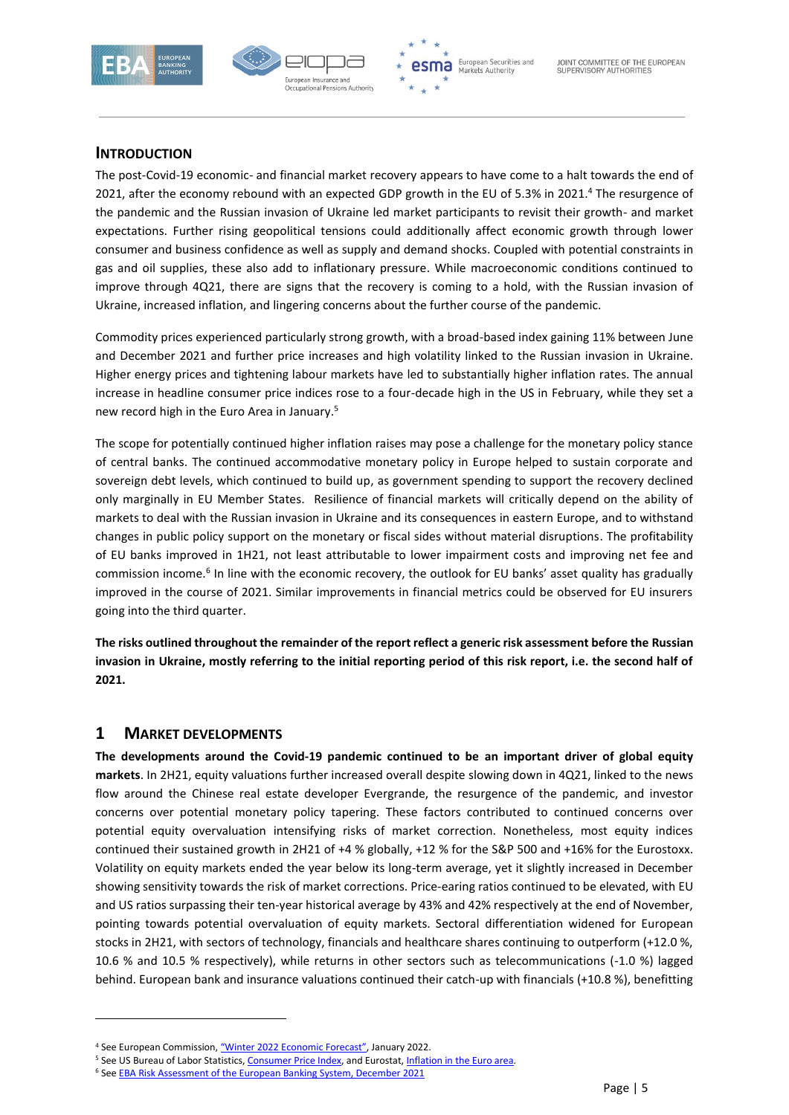



#### <span id="page-4-0"></span>**INTRODUCTION**

The post-Covid-19 economic- and financial market recovery appears to have come to a halt towards the end of 2021, after the economy rebound with an expected GDP growth in the EU of 5.3% in 2021.<sup>4</sup> The resurgence of the pandemic and the Russian invasion of Ukraine led market participants to revisit their growth- and market expectations. Further rising geopolitical tensions could additionally affect economic growth through lower consumer and business confidence as well as supply and demand shocks. Coupled with potential constraints in gas and oil supplies, these also add to inflationary pressure. While macroeconomic conditions continued to improve through 4Q21, there are signs that the recovery is coming to a hold, with the Russian invasion of Ukraine, increased inflation, and lingering concerns about the further course of the pandemic.

Commodity prices experienced particularly strong growth, with a broad-based index gaining 11% between June and December 2021 and further price increases and high volatility linked to the Russian invasion in Ukraine. Higher energy prices and tightening labour markets have led to substantially higher inflation rates. The annual increase in headline consumer price indices rose to a four-decade high in the US in February, while they set a new record high in the Euro Area in January. 5

The scope for potentially continued higher inflation raises may pose a challenge for the monetary policy stance of central banks. The continued accommodative monetary policy in Europe helped to sustain corporate and sovereign debt levels, which continued to build up, as government spending to support the recovery declined only marginally in EU Member States. Resilience of financial markets will critically depend on the ability of markets to deal with the Russian invasion in Ukraine and its consequences in eastern Europe, and to withstand changes in public policy support on the monetary or fiscal sides without material disruptions. The profitability of EU banks improved in 1H21, not least attributable to lower impairment costs and improving net fee and commission income.<sup>6</sup> In line with the economic recovery, the outlook for EU banks' asset quality has gradually improved in the course of 2021. Similar improvements in financial metrics could be observed for EU insurers going into the third quarter.

**The risks outlined throughout the remainder of the report reflect a generic risk assessment before the Russian invasion in Ukraine, mostly referring to the initial reporting period of this risk report, i.e. the second half of 2021.** 

### <span id="page-4-1"></span>**1 MARKET DEVELOPMENTS**

1

**The developments around the Covid-19 pandemic continued to be an important driver of global equity markets**. In 2H21, equity valuations further increased overall despite slowing down in 4Q21, linked to the news flow around the Chinese real estate developer Evergrande, the resurgence of the pandemic, and investor concerns over potential monetary policy tapering. These factors contributed to continued concerns over potential equity overvaluation intensifying risks of market correction. Nonetheless, most equity indices continued their sustained growth in 2H21 of +4 % globally, +12 % for the S&P 500 and +16% for the Eurostoxx. Volatility on equity markets ended the year below its long-term average, yet it slightly increased in December showing sensitivity towards the risk of market corrections. Price-earing ratios continued to be elevated, with EU and US ratios surpassing their ten-year historical average by 43% and 42% respectively at the end of November, pointing towards potential overvaluation of equity markets. Sectoral differentiation widened for European stocks in 2H21, with sectors of technology, financials and healthcare shares continuing to outperform (+12.0 %, 10.6 % and 10.5 % respectively), while returns in other sectors such as telecommunications (-1.0 %) lagged behind. European bank and insurance valuations continued their catch-up with financials (+10.8 %), benefitting

<sup>&</sup>lt;sup>4</sup> See European Commission, ["Winter 2022 Economic Forecast"](https://ec.europa.eu/commission/presscorner/detail/en/ip_22_926), January 2022.

<sup>&</sup>lt;sup>5</sup> See US Bureau of Labor Statistics[, Consumer Price Index,](https://www.bls.gov/cpi/) and Eurostat, [Inflation in the Euro area.](https://ec.europa.eu/eurostat/statistics-explained/index.php?title=Inflation_in_the_euro_area)

<sup>&</sup>lt;sup>6</sup> See **EBA Risk Assessment of the European Banking System, December 2021**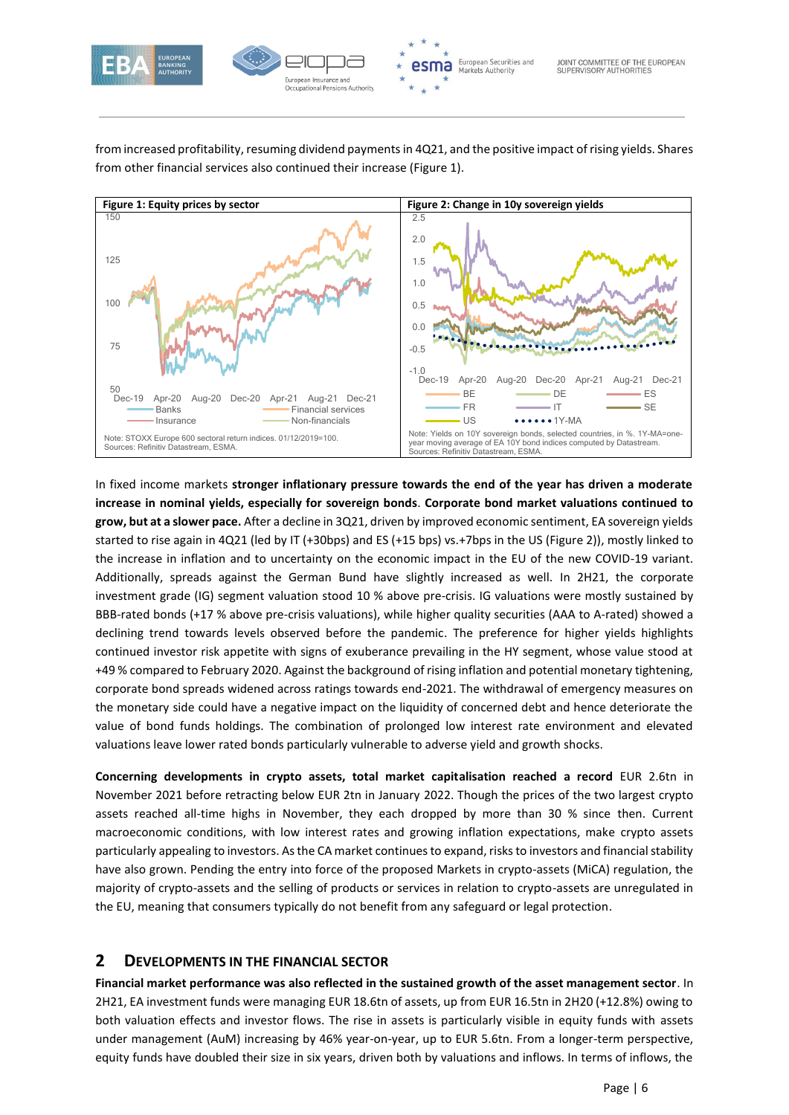

from increased profitability, resuming dividend payments in 4Q21, and the positive impact ofrising yields. Shares from other financial services also continued their increase (Figure 1).



In fixed income markets **stronger inflationary pressure towards the end of the year has driven a moderate increase in nominal yields, especially for sovereign bonds**. **Corporate bond market valuations continued to grow, but at a slower pace.** After a decline in 3Q21, driven by improved economic sentiment, EA sovereign yields started to rise again in 4Q21 (led by IT (+30bps) and ES (+15 bps) vs.+7bps in the US (Figure 2)), mostly linked to the increase in inflation and to uncertainty on the economic impact in the EU of the new COVID-19 variant. Additionally, spreads against the German Bund have slightly increased as well. In 2H21, the corporate investment grade (IG) segment valuation stood 10 % above pre-crisis. IG valuations were mostly sustained by BBB-rated bonds (+17 % above pre-crisis valuations), while higher quality securities (AAA to A-rated) showed a declining trend towards levels observed before the pandemic. The preference for higher yields highlights continued investor risk appetite with signs of exuberance prevailing in the HY segment, whose value stood at +49 % compared to February 2020. Against the background of rising inflation and potential monetary tightening, corporate bond spreads widened across ratings towards end-2021. The withdrawal of emergency measures on the monetary side could have a negative impact on the liquidity of concerned debt and hence deteriorate the value of bond funds holdings. The combination of prolonged low interest rate environment and elevated valuations leave lower rated bonds particularly vulnerable to adverse yield and growth shocks.

**Concerning developments in crypto assets, total market capitalisation reached a record** EUR 2.6tn in November 2021 before retracting below EUR 2tn in January 2022. Though the prices of the two largest crypto assets reached all-time highs in November, they each dropped by more than 30 % since then. Current macroeconomic conditions, with low interest rates and growing inflation expectations, make crypto assets particularly appealing to investors. As the CA market continues to expand, risks to investors and financial stability have also grown. Pending the entry into force of the proposed Markets in crypto-assets (MiCA) regulation, the majority of crypto-assets and the selling of products or services in relation to crypto-assets are unregulated in the EU, meaning that consumers typically do not benefit from any safeguard or legal protection.

### <span id="page-5-0"></span>**2 DEVELOPMENTS IN THE FINANCIAL SECTOR**

**Financial market performance was also reflected in the sustained growth of the asset management sector**. In 2H21, EA investment funds were managing EUR 18.6tn of assets, up from EUR 16.5tn in 2H20 (+12.8%) owing to both valuation effects and investor flows. The rise in assets is particularly visible in equity funds with assets under management (AuM) increasing by 46% year-on-year, up to EUR 5.6tn. From a longer-term perspective, equity funds have doubled their size in six years, driven both by valuations and inflows. In terms of inflows, the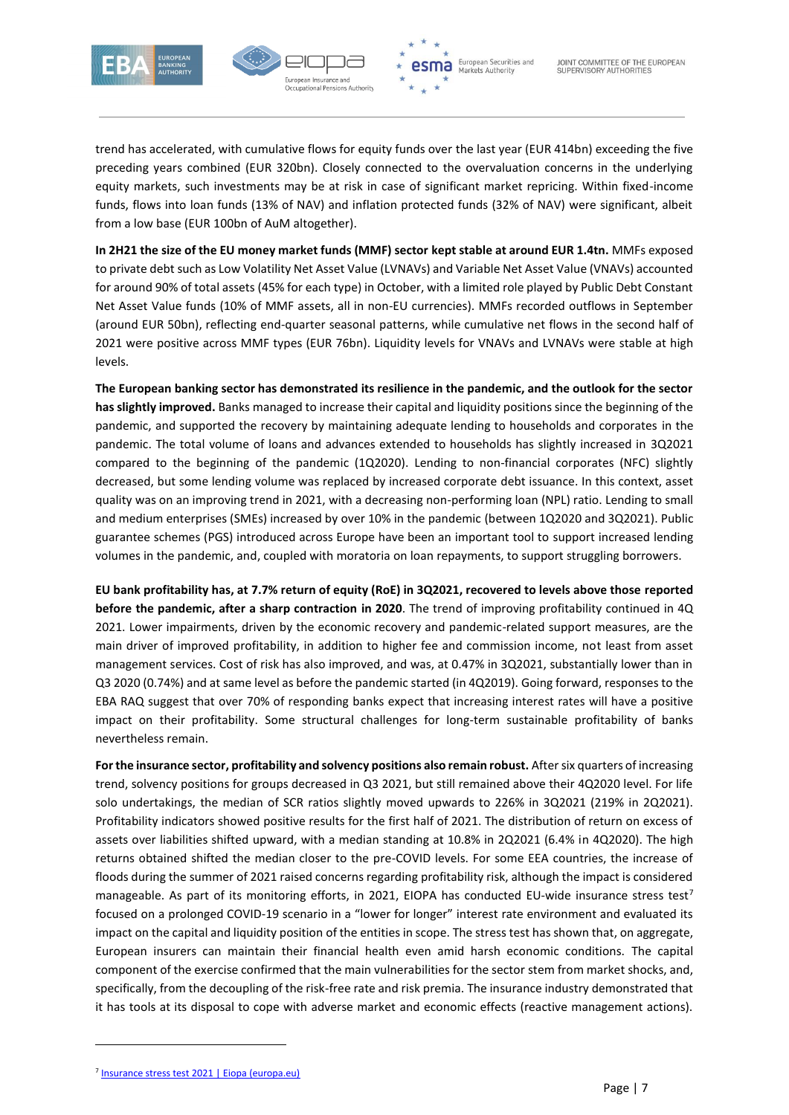



trend has accelerated, with cumulative flows for equity funds over the last year (EUR 414bn) exceeding the five preceding years combined (EUR 320bn). Closely connected to the overvaluation concerns in the underlying equity markets, such investments may be at risk in case of significant market repricing. Within fixed-income funds, flows into loan funds (13% of NAV) and inflation protected funds (32% of NAV) were significant, albeit from a low base (EUR 100bn of AuM altogether).

**In 2H21 the size of the EU money market funds (MMF) sector kept stable at around EUR 1.4tn.** MMFs exposed to private debt such as Low Volatility Net Asset Value (LVNAVs) and Variable Net Asset Value (VNAVs) accounted for around 90% of total assets (45% for each type) in October, with a limited role played by Public Debt Constant Net Asset Value funds (10% of MMF assets, all in non-EU currencies). MMFs recorded outflows in September (around EUR 50bn), reflecting end-quarter seasonal patterns, while cumulative net flows in the second half of 2021 were positive across MMF types (EUR 76bn). Liquidity levels for VNAVs and LVNAVs were stable at high levels.

**The European banking sector has demonstrated its resilience in the pandemic, and the outlook for the sector has slightly improved.** Banks managed to increase their capital and liquidity positions since the beginning of the pandemic, and supported the recovery by maintaining adequate lending to households and corporates in the pandemic. The total volume of loans and advances extended to households has slightly increased in 3Q2021 compared to the beginning of the pandemic (1Q2020). Lending to non-financial corporates (NFC) slightly decreased, but some lending volume was replaced by increased corporate debt issuance. In this context, asset quality was on an improving trend in 2021, with a decreasing non-performing loan (NPL) ratio. Lending to small and medium enterprises (SMEs) increased by over 10% in the pandemic (between 1Q2020 and 3Q2021). Public guarantee schemes (PGS) introduced across Europe have been an important tool to support increased lending volumes in the pandemic, and, coupled with moratoria on loan repayments, to support struggling borrowers.

**EU bank profitability has, at 7.7% return of equity (RoE) in 3Q2021, recovered to levels above those reported before the pandemic, after a sharp contraction in 2020**. The trend of improving profitability continued in 4Q 2021. Lower impairments, driven by the economic recovery and pandemic-related support measures, are the main driver of improved profitability, in addition to higher fee and commission income, not least from asset management services. Cost of risk has also improved, and was, at 0.47% in 3Q2021, substantially lower than in Q3 2020 (0.74%) and at same level as before the pandemic started (in 4Q2019). Going forward, responses to the EBA RAQ suggest that over 70% of responding banks expect that increasing interest rates will have a positive impact on their profitability. Some structural challenges for long-term sustainable profitability of banks nevertheless remain.

**For the insurance sector, profitability and solvency positions also remain robust.** After six quarters of increasing trend, solvency positions for groups decreased in Q3 2021, but still remained above their 4Q2020 level. For life solo undertakings, the median of SCR ratios slightly moved upwards to 226% in 3Q2021 (219% in 2Q2021). Profitability indicators showed positive results for the first half of 2021. The distribution of return on excess of assets over liabilities shifted upward, with a median standing at 10.8% in 2Q2021 (6.4% in 4Q2020). The high returns obtained shifted the median closer to the pre-COVID levels. For some EEA countries, the increase of floods during the summer of 2021 raised concerns regarding profitability risk, although the impact is considered manageable. As part of its monitoring efforts, in 2021, EIOPA has conducted EU-wide insurance stress test<sup>7</sup> focused on a prolonged COVID-19 scenario in a "lower for longer" interest rate environment and evaluated its impact on the capital and liquidity position of the entities in scope. The stress test has shown that, on aggregate, European insurers can maintain their financial health even amid harsh economic conditions. The capital component of the exercise confirmed that the main vulnerabilities for the sector stem from market shocks, and, specifically, from the decoupling of the risk-free rate and risk premia. The insurance industry demonstrated that it has tools at its disposal to cope with adverse market and economic effects (reactive management actions).

<sup>&</sup>lt;sup>7</sup> [Insurance stress test 2021 | Eiopa \(europa.eu\)](https://www.eiopa.europa.eu/insurance-stress-test-2021_en)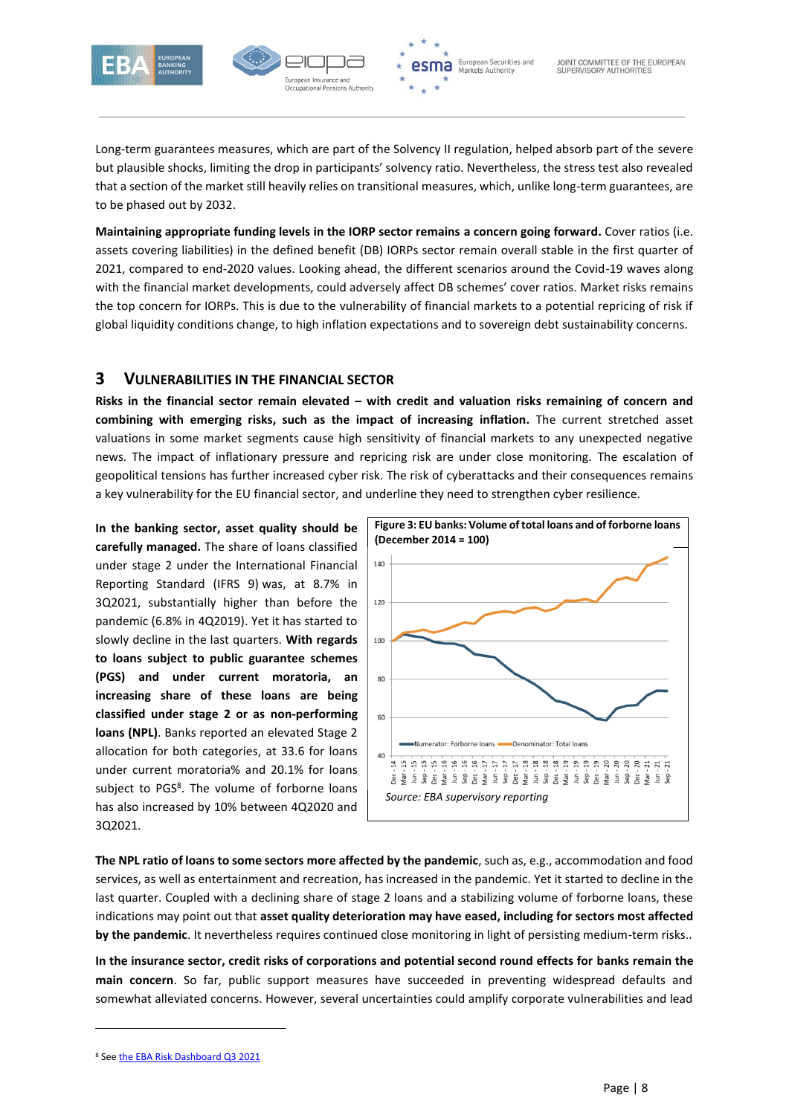



Long-term guarantees measures, which are part of the Solvency II regulation, helped absorb part of the severe but plausible shocks, limiting the drop in participants' solvency ratio. Nevertheless, the stress test also revealed that a section of the market still heavily relies on transitional measures, which, unlike long-term guarantees, are to be phased out by 2032.

**Maintaining appropriate funding levels in the IORP sector remains a concern going forward.** Cover ratios (i.e. assets covering liabilities) in the defined benefit (DB) IORPs sector remain overall stable in the first quarter of 2021, compared to end-2020 values. Looking ahead, the different scenarios around the Covid-19 waves along with the financial market developments, could adversely affect DB schemes' cover ratios. Market risks remains the top concern for IORPs. This is due to the vulnerability of financial markets to a potential repricing of risk if global liquidity conditions change, to high inflation expectations and to sovereign debt sustainability concerns.

### <span id="page-7-0"></span>**3 VULNERABILITIES IN THE FINANCIAL SECTOR**

**Risks in the financial sector remain elevated – with credit and valuation risks remaining of concern and combining with emerging risks, such as the impact of increasing inflation.** The current stretched asset valuations in some market segments cause high sensitivity of financial markets to any unexpected negative news. The impact of inflationary pressure and repricing risk are under close monitoring. The escalation of geopolitical tensions has further increased cyber risk. The risk of cyberattacks and their consequences remains a key vulnerability for the EU financial sector, and underline they need to strengthen cyber resilience.

**In the banking sector, asset quality should be carefully managed.** The share of loans classified under stage 2 under the International Financial Reporting Standard (IFRS 9) was, at 8.7% in 3Q2021, substantially higher than before the pandemic (6.8% in 4Q2019). Yet it has started to slowly decline in the last quarters. **With regards to loans subject to public guarantee schemes (PGS) and under current moratoria, an increasing share of these loans are being classified under stage 2 or as non-performing loans (NPL)**. Banks reported an elevated Stage 2 allocation for both categories, at 33.6 for loans under current moratoria% and 20.1% for loans subject to PGS<sup>8</sup>. The volume of forborne loans has also increased by 10% between 4Q2020 and 3Q2021.



**The NPL ratio of loans to some sectors more affected by the pandemic**, such as, e.g., accommodation and food services, as well as entertainment and recreation, has increased in the pandemic. Yet it started to decline in the last quarter. Coupled with a declining share of stage 2 loans and a stabilizing volume of forborne loans, these indications may point out that **asset quality deterioration may have eased, including for sectors most affected by the pandemic**. It nevertheless requires continued close monitoring in light of persisting medium-term risks..

**In the insurance sector, credit risks of corporations and potential second round effects for banks remain the main concern**. So far, public support measures have succeeded in preventing widespread defaults and somewhat alleviated concerns. However, several uncertainties could amplify corporate vulnerabilities and lead

**.** 

<sup>8</sup> Se[e the EBA Risk Dashboard Q3 2021](https://www.eba.europa.eu/sites/default/documents/files/document_library/Risk%20Analysis%20and%20Data/Risk%20dashboard/Q3%202021/1025829/EBA%20Dashboard%20-%20Q3%202021%20v2.pdf?retry=1)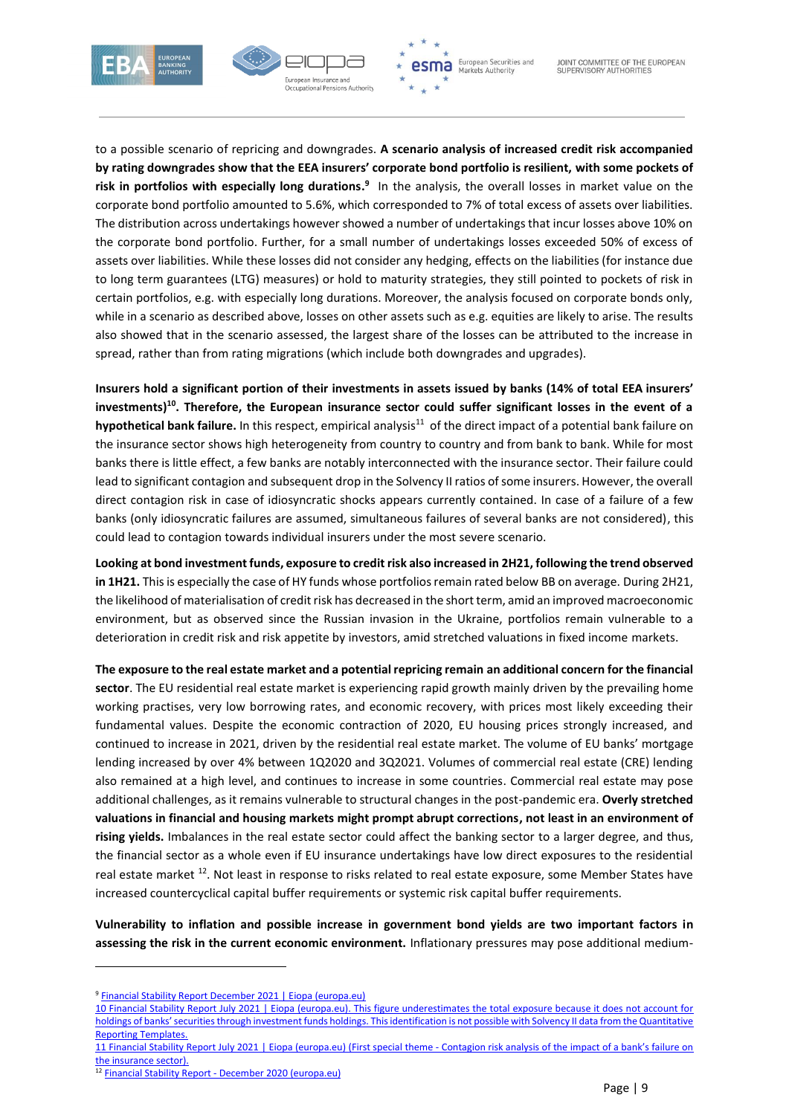



to a possible scenario of repricing and downgrades. **A scenario analysis of increased credit risk accompanied by rating downgrades show that the EEA insurers' corporate bond portfolio is resilient, with some pockets of**  risk in portfolios with especially long durations.<sup>9</sup> In the analysis, the overall losses in market value on the corporate bond portfolio amounted to 5.6%, which corresponded to 7% of total excess of assets over liabilities. The distribution across undertakings however showed a number of undertakings that incur losses above 10% on the corporate bond portfolio. Further, for a small number of undertakings losses exceeded 50% of excess of assets over liabilities. While these losses did not consider any hedging, effects on the liabilities (for instance due to long term guarantees (LTG) measures) or hold to maturity strategies, they still pointed to pockets of risk in certain portfolios, e.g. with especially long durations. Moreover, the analysis focused on corporate bonds only, while in a scenario as described above, losses on other assets such as e.g. equities are likely to arise. The results also showed that in the scenario assessed, the largest share of the losses can be attributed to the increase in spread, rather than from rating migrations (which include both downgrades and upgrades).

**Insurers hold a significant portion of their investments in assets issued by banks (14% of total EEA insurers' investments)<sup>10</sup>. Therefore, the European insurance sector could suffer significant losses in the event of a**  hypothetical bank failure. In this respect, empirical analysis<sup>11</sup> of the direct impact of a potential bank failure on the insurance sector shows high heterogeneity from country to country and from bank to bank. While for most banks there is little effect, a few banks are notably interconnected with the insurance sector. Their failure could lead to significant contagion and subsequent drop in the Solvency II ratios of some insurers. However, the overall direct contagion risk in case of idiosyncratic shocks appears currently contained. In case of a failure of a few banks (only idiosyncratic failures are assumed, simultaneous failures of several banks are not considered), this could lead to contagion towards individual insurers under the most severe scenario.

**Looking at bond investment funds, exposure to credit risk also increased in 2H21, following the trend observed in 1H21.** This is especially the case of HY funds whose portfolios remain rated below BB on average. During 2H21, the likelihood of materialisation of credit risk has decreased in the short term, amid an improved macroeconomic environment, but as observed since the Russian invasion in the Ukraine, portfolios remain vulnerable to a deterioration in credit risk and risk appetite by investors, amid stretched valuations in fixed income markets.

**The exposure to the real estate market and a potential repricing remain an additional concern for the financial sector**. The EU residential real estate market is experiencing rapid growth mainly driven by the prevailing home working practises, very low borrowing rates, and economic recovery, with prices most likely exceeding their fundamental values. Despite the economic contraction of 2020, EU housing prices strongly increased, and continued to increase in 2021, driven by the residential real estate market. The volume of EU banks' mortgage lending increased by over 4% between 1Q2020 and 3Q2021. Volumes of commercial real estate (CRE) lending also remained at a high level, and continues to increase in some countries. Commercial real estate may pose additional challenges, as it remains vulnerable to structural changes in the post-pandemic era. **Overly stretched valuations in financial and housing markets might prompt abrupt corrections, not least in an environment of rising yields.** Imbalances in the real estate sector could affect the banking sector to a larger degree, and thus, the financial sector as a whole even if EU insurance undertakings have low direct exposures to the residential real estate market <sup>12</sup>. Not least in response to risks related to real estate exposure, some Member States have increased countercyclical capital buffer requirements or systemic risk capital buffer requirements.

**Vulnerability to inflation and possible increase in government bond yields are two important factors in assessing the risk in the current economic environment.** Inflationary pressures may pose additional medium-

**.** 

<sup>9</sup> [Financial Stability Report December 2021 | Eiopa \(europa.eu\)](https://www.eiopa.europa.eu/document-library/financial-stability-report/financial-stability-report-december-2021)

<sup>10</sup> [Financial Stability Report July 2021 | Eiopa \(europa.eu\).](https://www.eiopa.europa.eu/document-library/financial-stability-report/financial-stability-report-july-2021_en) This figure underestimates the total exposure because it does not account for holdings of banks' securities through investment funds holdings. This identification is not possible with Solvency II data from the Quantitative Reporting Templates.

<sup>11</sup> [Financial Stability Report July 2021 | Eiopa \(europa.eu\)](https://www.eiopa.europa.eu/document-library/financial-stability-report/financial-stability-report-july-2021_en) (First special theme - Contagion risk analysis of the impact of a bank's failure on the insurance sector).

<sup>12</sup> Financial Stability Report - [December 2020 \(europa.eu\)](https://www.eiopa.europa.eu/sites/default/files/publications/20205804_eiac20002enn_pdf.pdf)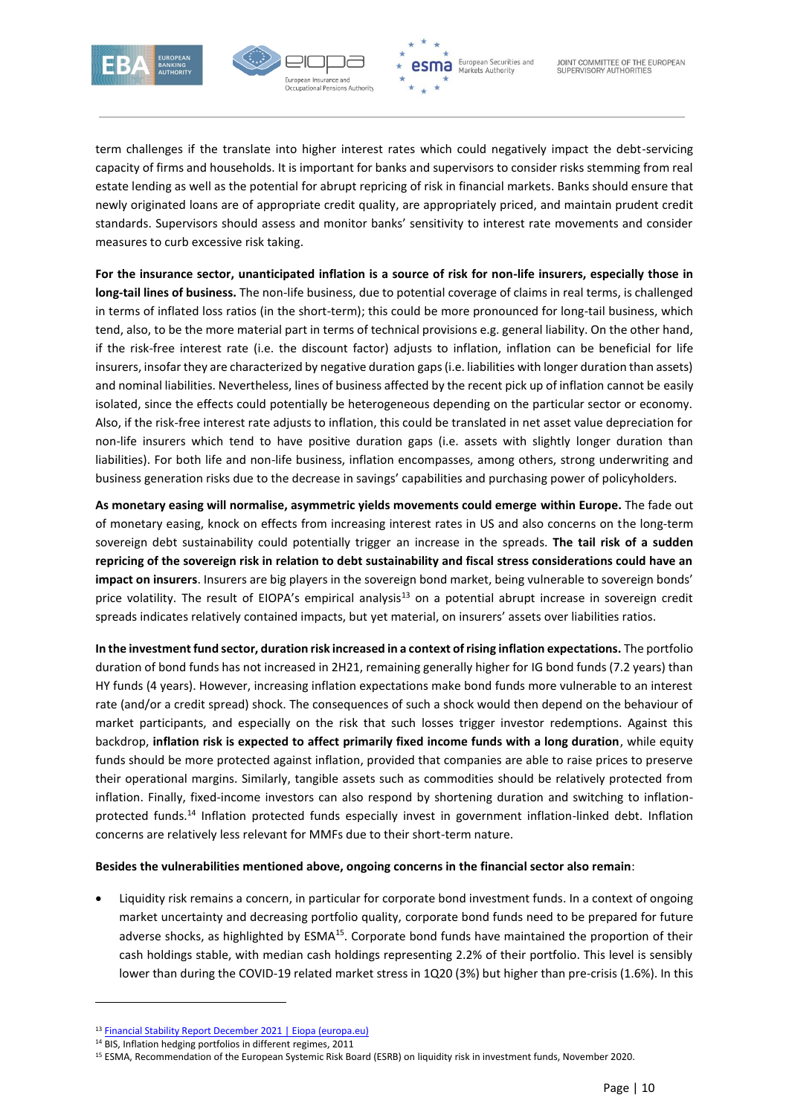



term challenges if the translate into higher interest rates which could negatively impact the debt-servicing capacity of firms and households. It is important for banks and supervisors to consider risks stemming from real estate lending as well as the potential for abrupt repricing of risk in financial markets. Banks should ensure that newly originated loans are of appropriate credit quality, are appropriately priced, and maintain prudent credit standards. Supervisors should assess and monitor banks' sensitivity to interest rate movements and consider measures to curb excessive risk taking.

**For the insurance sector, unanticipated inflation is a source of risk for non-life insurers, especially those in long-tail lines of business.** The non-life business, due to potential coverage of claims in real terms, is challenged in terms of inflated loss ratios (in the short-term); this could be more pronounced for long-tail business, which tend, also, to be the more material part in terms of technical provisions e.g. general liability. On the other hand, if the risk-free interest rate (i.e. the discount factor) adjusts to inflation, inflation can be beneficial for life insurers, insofar they are characterized by negative duration gaps (i.e. liabilities with longer duration than assets) and nominal liabilities. Nevertheless, lines of business affected by the recent pick up of inflation cannot be easily isolated, since the effects could potentially be heterogeneous depending on the particular sector or economy. Also, if the risk-free interest rate adjusts to inflation, this could be translated in net asset value depreciation for non-life insurers which tend to have positive duration gaps (i.e. assets with slightly longer duration than liabilities). For both life and non-life business, inflation encompasses, among others, strong underwriting and business generation risks due to the decrease in savings' capabilities and purchasing power of policyholders.

**As monetary easing will normalise, asymmetric yields movements could emerge within Europe.** The fade out of monetary easing, knock on effects from increasing interest rates in US and also concerns on the long-term sovereign debt sustainability could potentially trigger an increase in the spreads. **The tail risk of a sudden repricing of the sovereign risk in relation to debt sustainability and fiscal stress considerations could have an impact on insurers**. Insurers are big players in the sovereign bond market, being vulnerable to sovereign bonds' price volatility. The result of EIOPA's empirical analysis<sup>13</sup> on a potential abrupt increase in sovereign credit spreads indicates relatively contained impacts, but yet material, on insurers' assets over liabilities ratios.

**In the investment fund sector, duration risk increased in a context of rising inflation expectations.** The portfolio duration of bond funds has not increased in 2H21, remaining generally higher for IG bond funds (7.2 years) than HY funds (4 years). However, increasing inflation expectations make bond funds more vulnerable to an interest rate (and/or a credit spread) shock. The consequences of such a shock would then depend on the behaviour of market participants, and especially on the risk that such losses trigger investor redemptions. Against this backdrop, **inflation risk is expected to affect primarily fixed income funds with a long duration**, while equity funds should be more protected against inflation, provided that companies are able to raise prices to preserve their operational margins. Similarly, tangible assets such as commodities should be relatively protected from inflation. Finally, fixed-income investors can also respond by shortening duration and switching to inflationprotected funds.<sup>14</sup> Inflation protected funds especially invest in government inflation-linked debt. Inflation concerns are relatively less relevant for MMFs due to their short-term nature.

#### **Besides the vulnerabilities mentioned above, ongoing concerns in the financial sector also remain**:

 Liquidity risk remains a concern, in particular for corporate bond investment funds. In a context of ongoing market uncertainty and decreasing portfolio quality, corporate bond funds need to be prepared for future adverse shocks, as highlighted by ESMA<sup>15</sup>. Corporate bond funds have maintained the proportion of their cash holdings stable, with median cash holdings representing 2.2% of their portfolio. This level is sensibly lower than during the COVID-19 related market stress in 1Q20 (3%) but higher than pre-crisis (1.6%). In this

**-**

<sup>13</sup> [Financial Stability Report December 2021 | Eiopa \(europa.eu\)](https://www.eiopa.europa.eu/document-library/financial-stability-report/financial-stability-report-december-2021)

<sup>14</sup> BIS, Inflation hedging portfolios in different regimes, 2011

<sup>15</sup> ESMA, Recommendation of the European Systemic Risk Board (ESRB) on liquidity risk in investment funds, November 2020.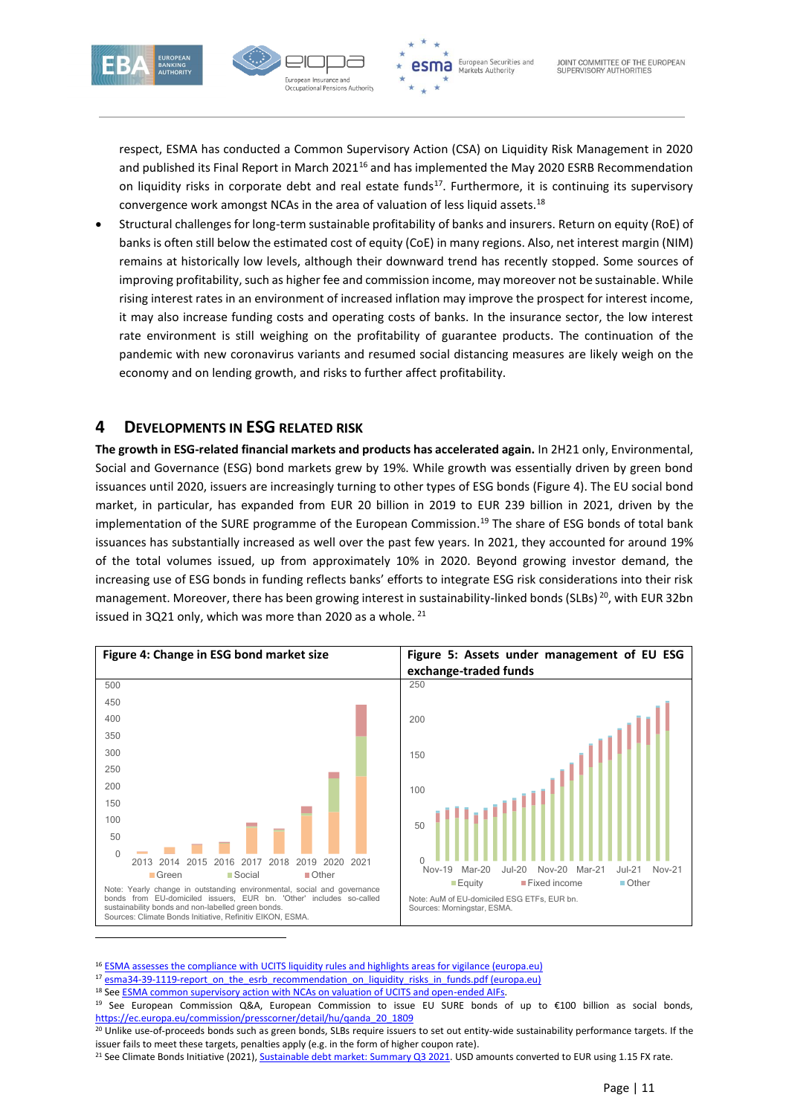



respect, ESMA has conducted a Common Supervisory Action (CSA) on Liquidity Risk Management in 2020 and published its Final Report in March 2021<sup>16</sup> and has implemented the May 2020 ESRB Recommendation on liquidity risks in corporate debt and real estate funds<sup>17</sup>. Furthermore, it is continuing its supervisory convergence work amongst NCAs in the area of valuation of less liquid assets.<sup>18</sup>

 Structural challenges for long-term sustainable profitability of banks and insurers. Return on equity (RoE) of banks is often still below the estimated cost of equity (CoE) in many regions. Also, net interest margin (NIM) remains at historically low levels, although their downward trend has recently stopped. Some sources of improving profitability, such as higher fee and commission income, may moreover not be sustainable. While rising interest rates in an environment of increased inflation may improve the prospect for interest income, it may also increase funding costs and operating costs of banks. In the insurance sector, the low interest rate environment is still weighing on the profitability of guarantee products. The continuation of the pandemic with new coronavirus variants and resumed social distancing measures are likely weigh on the economy and on lending growth, and risks to further affect profitability.

# <span id="page-10-0"></span>**4 DEVELOPMENTS IN ESG RELATED RISK**

**The growth in ESG-related financial markets and products has accelerated again.** In 2H21 only, Environmental, Social and Governance (ESG) bond markets grew by 19%. While growth was essentially driven by green bond issuances until 2020, issuers are increasingly turning to other types of ESG bonds (Figure 4). The EU social bond market, in particular, has expanded from EUR 20 billion in 2019 to EUR 239 billion in 2021, driven by the implementation of the SURE programme of the European Commission. <sup>19</sup> The share of ESG bonds of total bank issuances has substantially increased as well over the past few years. In 2021, they accounted for around 19% of the total volumes issued, up from approximately 10% in 2020. Beyond growing investor demand, the increasing use of ESG bonds in funding reflects banks' efforts to integrate ESG risk considerations into their risk management. Moreover, there has been growing interest in sustainability-linked bonds (SLBs)<sup>20</sup>, with EUR 32bn issued in 3Q21 only, which was more than 2020 as a whole. <sup>21</sup>



<sup>16</sup> [ESMA assesses the compliance with UCITS liquidity rules and highlights areas for vigilance \(europa.eu\)](https://www.esma.europa.eu/press-news/esma-news/esma-assesses-compliance-ucits-liquidity-rules-and-highlights-areas-vigilance)

- <sup>17</sup> [esma34-39-1119-report\\_on\\_the\\_esrb\\_recommendation\\_on\\_liquidity\\_risks\\_in\\_funds.pdf \(europa.eu\)](https://www.esma.europa.eu/sites/default/files/library/esma34-39-1119-report_on_the_esrb_recommendation_on_liquidity_risks_in_funds.pdf)
- <sup>18</sup> Se[e ESMA common supervisory action with NCAs on valuation of UCITS and open-ended AIFs.](https://www.esma.europa.eu/press-news/esma-news/esma-launches-common-supervisory-action-ncas-valuation-ucits-and-open-ended)

<sup>19</sup> See European Commission Q&A, European Commission to issue EU SURE bonds of up to €100 billion as social bonds, [https://ec.europa.eu/commission/presscorner/detail/hu/qanda\\_20\\_1809](https://ec.europa.eu/commission/presscorner/detail/hu/qanda_20_1809)

<sup>&</sup>lt;sup>20</sup> Unlike use-of-proceeds bonds such as green bonds, SLBs require issuers to set out entity-wide sustainability performance targets. If the issuer fails to meet these targets, penalties apply (e.g. in the form of higher coupon rate).

<sup>&</sup>lt;sup>21</sup> See Climate Bonds Initiative (2021)[, Sustainable debt market: Summary Q3 2021.](https://www.climatebonds.net/files/reports/cbi_susdebtsum_q32021_03b.pdf) USD amounts converted to EUR using 1.15 FX rate.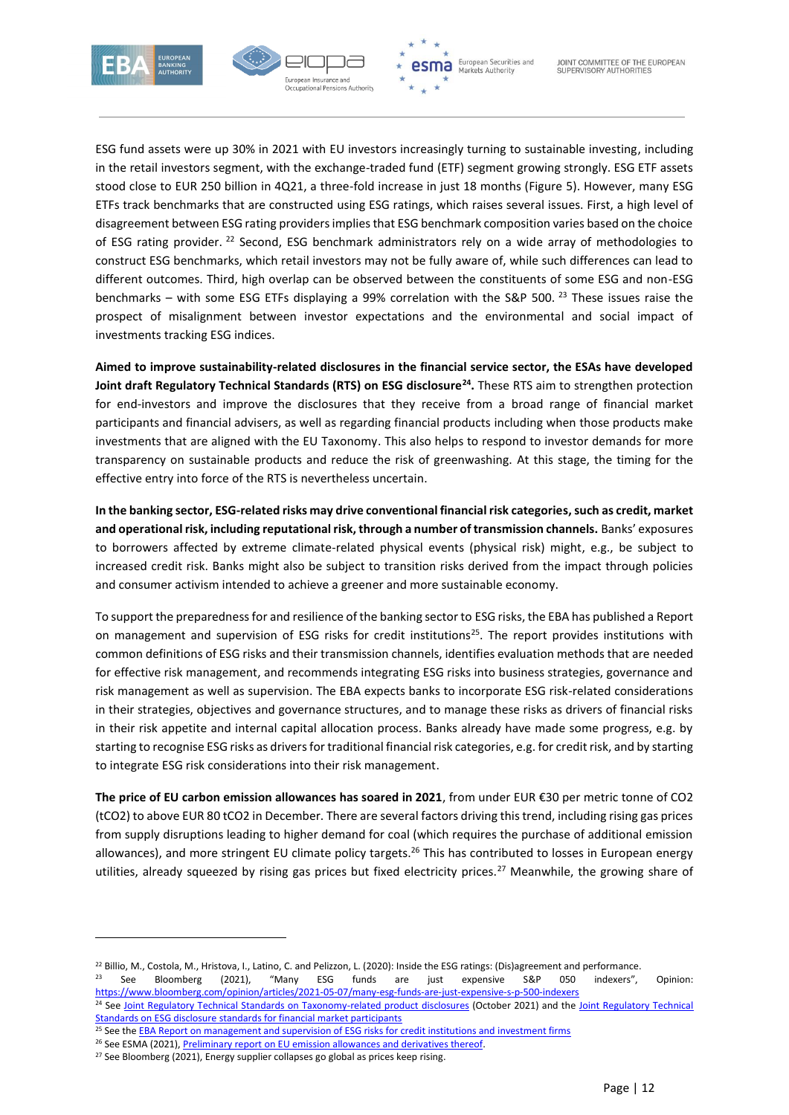



ESG fund assets were up 30% in 2021 with EU investors increasingly turning to sustainable investing, including in the retail investors segment, with the exchange-traded fund (ETF) segment growing strongly. ESG ETF assets stood close to EUR 250 billion in 4Q21, a three-fold increase in just 18 months (Figure 5). However, many ESG ETFs track benchmarks that are constructed using ESG ratings, which raises several issues. First, a high level of disagreement between ESG rating providers implies that ESG benchmark composition varies based on the choice of ESG rating provider. <sup>22</sup> Second, ESG benchmark administrators rely on a wide array of methodologies to construct ESG benchmarks, which retail investors may not be fully aware of, while such differences can lead to different outcomes. Third, high overlap can be observed between the constituents of some ESG and non-ESG benchmarks – with some ESG ETFs displaying a 99% correlation with the S&P 500.<sup>23</sup> These issues raise the prospect of misalignment between investor expectations and the environmental and social impact of investments tracking ESG indices.

**Aimed to improve sustainability-related disclosures in the financial service sector, the ESAs have developed Joint draft Regulatory Technical Standards (RTS) on ESG disclosure<sup>24</sup> .** These RTS aim to strengthen protection for end-investors and improve the disclosures that they receive from a broad range of financial market participants and financial advisers, as well as regarding financial products including when those products make investments that are aligned with the EU Taxonomy. This also helps to respond to investor demands for more transparency on sustainable products and reduce the risk of greenwashing. At this stage, the timing for the effective entry into force of the RTS is nevertheless uncertain.

**In the banking sector, ESG-related risks may drive conventional financial risk categories, such as credit, market and operational risk, including reputational risk, through a number of transmission channels.** Banks' exposures to borrowers affected by extreme climate-related physical events (physical risk) might, e.g., be subject to increased credit risk. Banks might also be subject to transition risks derived from the impact through policies and consumer activism intended to achieve a greener and more sustainable economy.

To support the preparedness for and resilience of the banking sector to ESG risks, the EBA has published a Report on management and supervision of ESG risks for credit institutions<sup>25</sup>. The report provides institutions with common definitions of ESG risks and their transmission channels, identifies evaluation methods that are needed for effective risk management, and recommends integrating ESG risks into business strategies, governance and risk management as well as supervision. The EBA expects banks to incorporate ESG risk-related considerations in their strategies, objectives and governance structures, and to manage these risks as drivers of financial risks in their risk appetite and internal capital allocation process. Banks already have made some progress, e.g. by starting to recognise ESG risks as drivers for traditional financial risk categories, e.g. for credit risk, and by starting to integrate ESG risk considerations into their risk management.

**The price of EU carbon emission allowances has soared in 2021**, from under EUR €30 per metric tonne of CO2 (tCO2) to above EUR 80 tCO2 in December. There are several factors driving this trend, including rising gas prices from supply disruptions leading to higher demand for coal (which requires the purchase of additional emission allowances), and more stringent EU climate policy targets.<sup>26</sup> This has contributed to losses in European energy utilities, already squeezed by rising gas prices but fixed electricity prices.<sup>27</sup> Meanwhile, the growing share of

<sup>&</sup>lt;sup>22</sup> Billio, M., Costola, M., Hristova, I., Latino, C. and Pelizzon, L. (2020): Inside the ESG ratings: (Dis)agreement and performance.

<sup>&</sup>lt;sup>23</sup> See Bloomberg (2021), "Many ESG funds are just expensive S&P 050 indexers", Opinion: <https://www.bloomberg.com/opinion/articles/2021-05-07/many-esg-funds-are-just-expensive-s-p-500-indexers>

<sup>&</sup>lt;sup>24</sup> Se[e Joint Regulatory Technical Standards on Taxonomy-related product disclosures](https://www.esma.europa.eu/press-news/esma-news/esas-propose-new-rules-taxonomy-related-product-disclosures) (October 2021) and the Joint Regulatory Technical [Standards on ESG disclosure standards for financial market participants](https://www.eba.europa.eu/regulation-and-policy/transparency-and-pillar-3/joint-rts-esg-disclosure-standards-financial-market-participants)

<sup>&</sup>lt;sup>25</sup> See the **EBA Report on management and supervision of ESG risks for credit institutions and investment firms** 

<sup>&</sup>lt;sup>26</sup> See ESMA (2021), Preliminary report on EU emission allowances and derivatives thereof.

 $27$  See Bloomberg (2021), Energy supplier collapses go global as prices keep rising.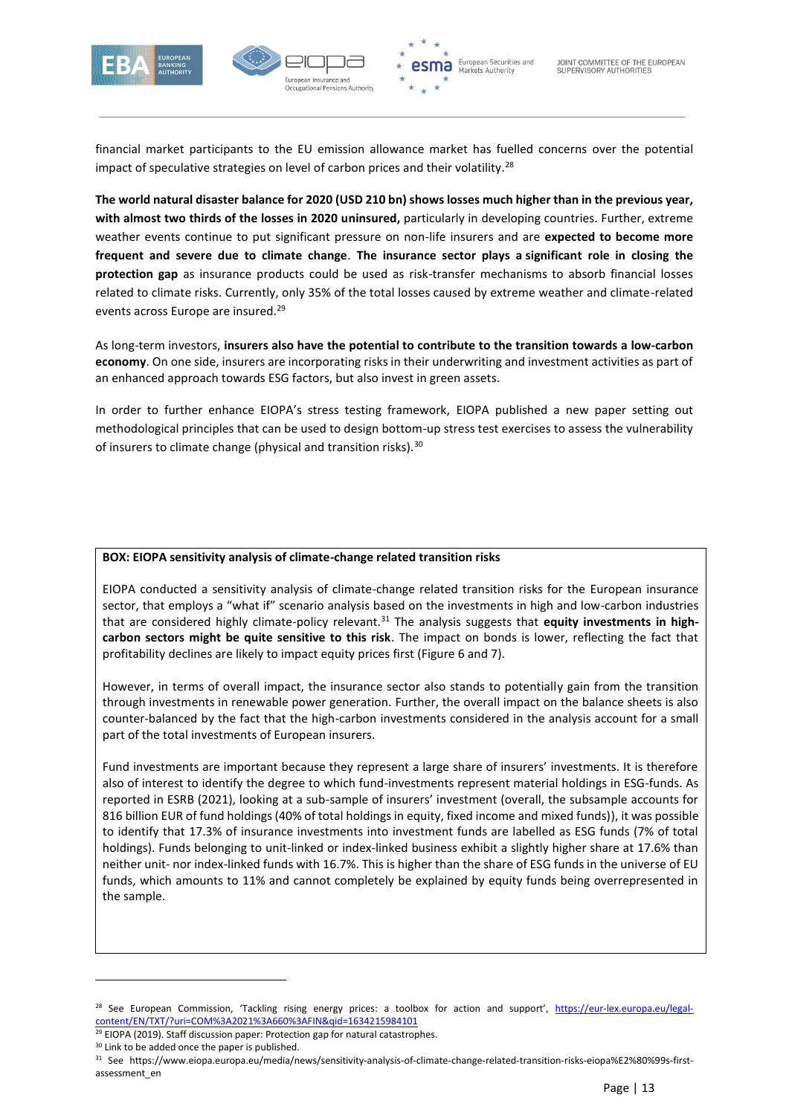



financial market participants to the EU emission allowance market has fuelled concerns over the potential impact of speculative strategies on level of carbon prices and their volatility. $^{28}$ 

**The world natural disaster balance for 2020 (USD 210 bn) shows losses much higher than in the previous year, with almost two thirds of the losses in 2020 uninsured,** particularly in developing countries. Further, extreme weather events continue to put significant pressure on non-life insurers and are **expected to become more frequent and severe due to climate change**. **The insurance sector plays a significant role in closing the protection gap** as insurance products could be used as risk-transfer mechanisms to absorb financial losses related to climate risks. Currently, only 35% of the total losses caused by extreme weather and climate-related events across Europe are insured.<sup>29</sup>

As long-term investors, **insurers also have the potential to contribute to the transition towards a low-carbon economy**. On one side, insurers are incorporating risks in their underwriting and investment activities as part of an enhanced approach towards ESG factors, but also invest in green assets.

In order to further enhance EIOPA's stress testing framework, EIOPA published a new paper setting out methodological principles that can be used to design bottom-up stress test exercises to assess the vulnerability of insurers to climate change (physical and transition risks).<sup>30</sup>

#### **BOX: EIOPA sensitivity analysis of climate-change related transition risks**

EIOPA conducted a sensitivity analysis of climate-change related transition risks for the European insurance sector, that employs a "what if" scenario analysis based on the investments in high and low-carbon industries that are considered highly climate-policy relevant.<sup>31</sup> The analysis suggests that equity investments in high**carbon sectors might be quite sensitive to this risk**. The impact on bonds is lower, reflecting the fact that profitability declines are likely to impact equity prices first (Figure 6 and 7).

However, in terms of overall impact, the insurance sector also stands to potentially gain from the transition through investments in renewable power generation. Further, the overall impact on the balance sheets is also counter-balanced by the fact that the high-carbon investments considered in the analysis account for a small part of the total investments of European insurers.

Fund investments are important because they represent a large share of insurers' investments. It is therefore also of interest to identify the degree to which fund-investments represent material holdings in ESG-funds. As reported in ESRB (2021), looking at a sub-sample of insurers' investment (overall, the subsample accounts for 816 billion EUR of fund holdings (40% of total holdings in equity, fixed income and mixed funds)), it was possible to identify that 17.3% of insurance investments into investment funds are labelled as ESG funds (7% of total holdings). Funds belonging to unit-linked or index-linked business exhibit a slightly higher share at 17.6% than neither unit- nor index-linked funds with 16.7%. This is higher than the share of ESG funds in the universe of EU funds, which amounts to 11% and cannot completely be explained by equity funds being overrepresented in the sample.

<sup>&</sup>lt;sup>28</sup> See European Commission, 'Tackling rising energy prices: a toolbox for action and support', [https://eur-lex.europa.eu/legal](https://eur-lex.europa.eu/legal-content/EN/TXT/?uri=COM%3A2021%3A660%3AFIN&qid=1634215984101)[content/EN/TXT/?uri=COM%3A2021%3A660%3AFIN&qid=1634215984101](https://eur-lex.europa.eu/legal-content/EN/TXT/?uri=COM%3A2021%3A660%3AFIN&qid=1634215984101) 

 $29$  EIOPA (2019). Staff discussion paper: Protection gap for natural catastrophes.

<sup>&</sup>lt;sup>30</sup> Link to be added once the paper is published.

<sup>31</sup> See https://www.eiopa.europa.eu/media/news/sensitivity-analysis-of-climate-change-related-transition-risks-eiopa%E2%80%99s-firstassessment\_en